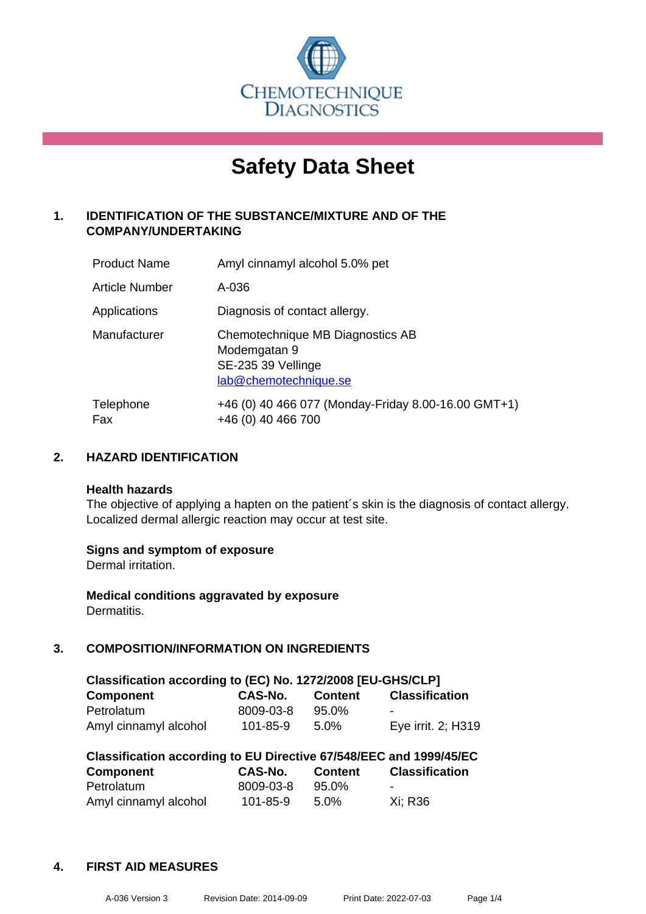

# **Safety Data Sheet**

# **1. IDENTIFICATION OF THE SUBSTANCE/MIXTURE AND OF THE COMPANY/UNDERTAKING**

| <b>Product Name</b> | Amyl cinnamyl alcohol 5.0% pet                                                                  |
|---------------------|-------------------------------------------------------------------------------------------------|
| Article Number      | A-036                                                                                           |
| Applications        | Diagnosis of contact allergy.                                                                   |
| Manufacturer        | Chemotechnique MB Diagnostics AB<br>Modemgatan 9<br>SE-235 39 Vellinge<br>lab@chemotechnique.se |
| Telephone<br>Fax    | +46 (0) 40 466 077 (Monday-Friday 8.00-16.00 GMT+1)<br>+46 (0) 40 466 700                       |

# **2. HAZARD IDENTIFICATION**

#### **Health hazards**

The objective of applying a hapten on the patient's skin is the diagnosis of contact allergy. Localized dermal allergic reaction may occur at test site.

# **Signs and symptom of exposure**

Dermal irritation.

**Medical conditions aggravated by exposure** Dermatitis.

# **3. COMPOSITION/INFORMATION ON INGREDIENTS**

| Classification according to (EC) No. 1272/2008 [EU-GHS/CLP] |           |                |                       |  |
|-------------------------------------------------------------|-----------|----------------|-----------------------|--|
| <b>Component</b>                                            | CAS-No.   | <b>Content</b> | <b>Classification</b> |  |
| Petrolatum                                                  | 8009-03-8 | $95.0\%$       | -                     |  |
| Amyl cinnamyl alcohol                                       | 101-85-9  | $5.0\%$        | Eye irrit. 2; H319    |  |

| Classification according to EU Directive 67/548/EEC and 1999/45/EC |           |                |                          |  |  |
|--------------------------------------------------------------------|-----------|----------------|--------------------------|--|--|
| <b>Component</b>                                                   | CAS-No.   | <b>Content</b> | <b>Classification</b>    |  |  |
| Petrolatum                                                         | 8009-03-8 | 95.0%          | $\overline{\phantom{0}}$ |  |  |
| Amyl cinnamyl alcohol                                              | 101-85-9  | $5.0\%$        | Xi: R36                  |  |  |

#### **4. FIRST AID MEASURES**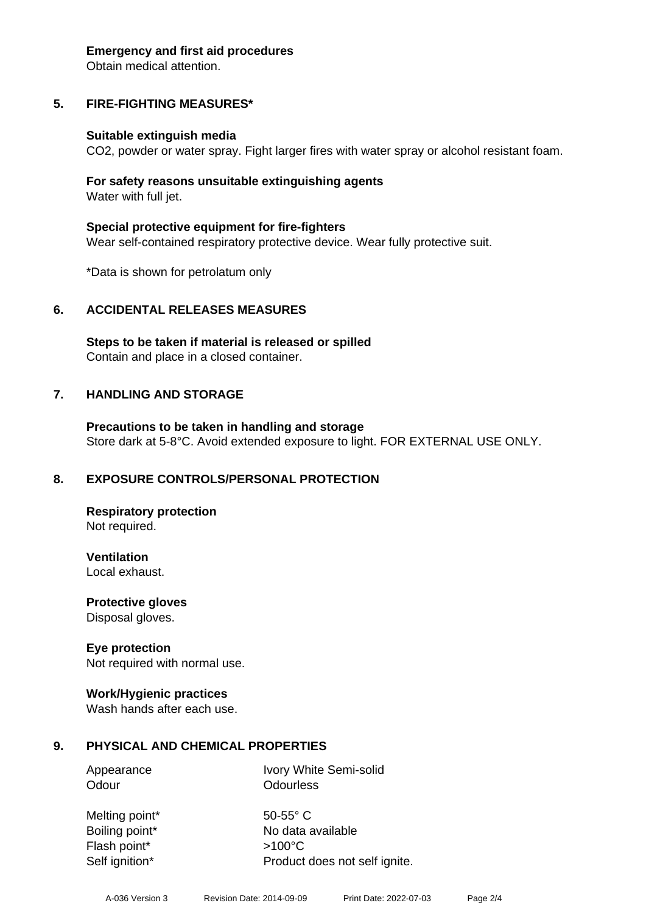#### **Emergency and first aid procedures**

Obtain medical attention.

# **5. FIRE-FIGHTING MEASURES\***

#### **Suitable extinguish media**

CO2, powder or water spray. Fight larger fires with water spray or alcohol resistant foam.

#### **For safety reasons unsuitable extinguishing agents** Water with full jet.

**Special protective equipment for fire-fighters** Wear self-contained respiratory protective device. Wear fully protective suit.

\*Data is shown for petrolatum only

# **6. ACCIDENTAL RELEASES MEASURES**

**Steps to be taken if material is released or spilled** Contain and place in a closed container.

# **7. HANDLING AND STORAGE**

**Precautions to be taken in handling and storage** Store dark at 5-8°C. Avoid extended exposure to light. FOR EXTERNAL USE ONLY.

# **8. EXPOSURE CONTROLS/PERSONAL PROTECTION**

**Respiratory protection** Not required.

**Ventilation** Local exhaust.

**Protective gloves** Disposal gloves.

# **Eye protection**

Not required with normal use.

# **Work/Hygienic practices**

Wash hands after each use.

# **9. PHYSICAL AND CHEMICAL PROPERTIES**

Appearance Ivory White Semi-solid Odour **Odourless** 

Melting point\* 50-55° C Flash point\* >100°C Self ignition\* Product does not self ignite.

Boiling point\* No data available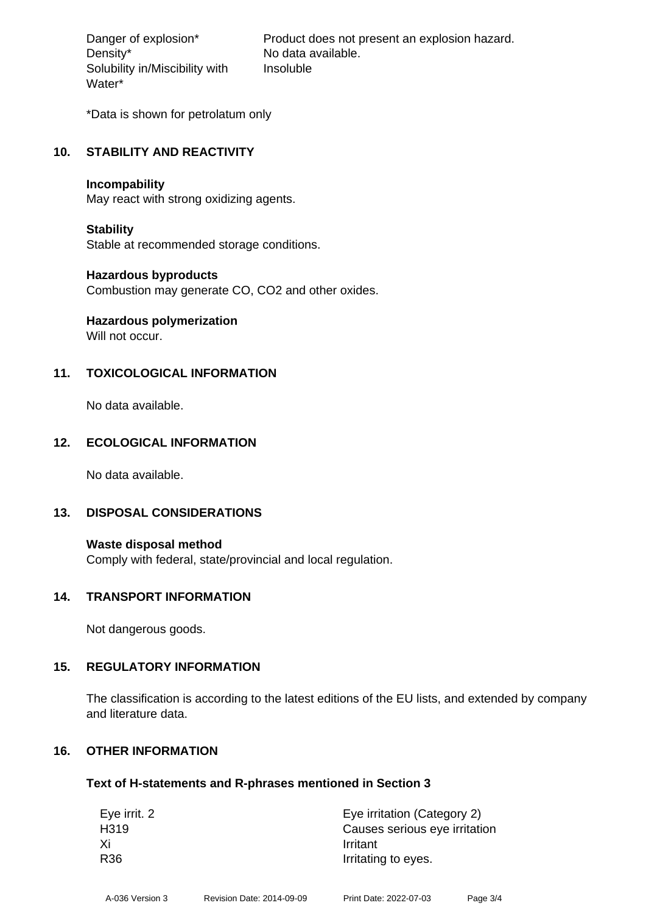Density\* No data available. Solubility in/Miscibility with Water\*

Danger of explosion\* Product does not present an explosion hazard. Insoluble

\*Data is shown for petrolatum only

#### **10. STABILITY AND REACTIVITY**

#### **Incompability**

May react with strong oxidizing agents.

#### **Stability**

Stable at recommended storage conditions.

#### **Hazardous byproducts**

Combustion may generate CO, CO2 and other oxides.

# **Hazardous polymerization**

Will not occur.

# **11. TOXICOLOGICAL INFORMATION**

No data available.

# **12. ECOLOGICAL INFORMATION**

No data available.

# **13. DISPOSAL CONSIDERATIONS**

**Waste disposal method** Comply with federal, state/provincial and local regulation.

#### **14. TRANSPORT INFORMATION**

Not dangerous goods.

# **15. REGULATORY INFORMATION**

The classification is according to the latest editions of the EU lists, and extended by company and literature data.

# **16. OTHER INFORMATION**

#### **Text of H-statements and R-phrases mentioned in Section 3**

| Eye irrit. 2     | Eye irritation (Category 2)   |
|------------------|-------------------------------|
| H <sub>319</sub> | Causes serious eye irritation |
| Xi<br>Irritant   |                               |
| R36              | Irritating to eyes.           |